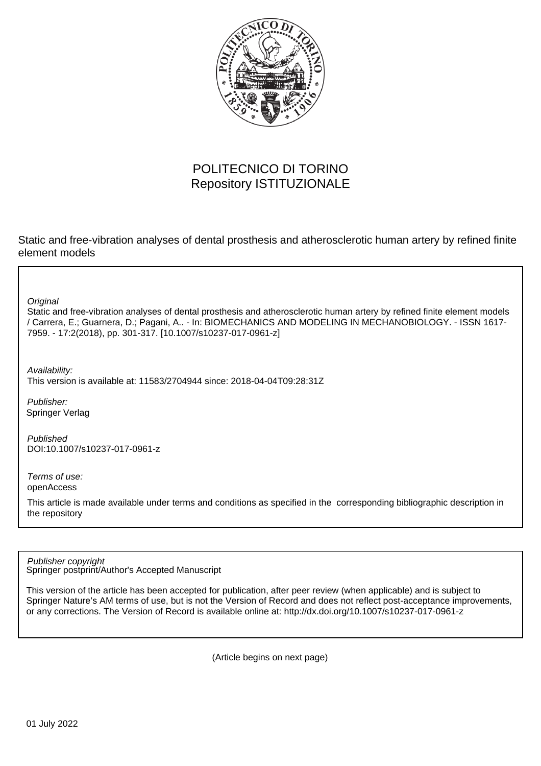

## POLITECNICO DI TORINO Repository ISTITUZIONALE

Static and free-vibration analyses of dental prosthesis and atherosclerotic human artery by refined finite element models

**Original** 

Static and free-vibration analyses of dental prosthesis and atherosclerotic human artery by refined finite element models / Carrera, E.; Guarnera, D.; Pagani, A.. - In: BIOMECHANICS AND MODELING IN MECHANOBIOLOGY. - ISSN 1617- 7959. - 17:2(2018), pp. 301-317. [10.1007/s10237-017-0961-z]

Availability:

This version is available at: 11583/2704944 since: 2018-04-04T09:28:31Z

Publisher: Springer Verlag

Published DOI:10.1007/s10237-017-0961-z

Terms of use: openAccess

This article is made available under terms and conditions as specified in the corresponding bibliographic description in the repository

Springer postprint/Author's Accepted Manuscript Publisher copyright

This version of the article has been accepted for publication, after peer review (when applicable) and is subject to Springer Nature's AM terms of use, but is not the Version of Record and does not reflect post-acceptance improvements, or any corrections. The Version of Record is available online at: http://dx.doi.org/10.1007/s10237-017-0961-z

(Article begins on next page)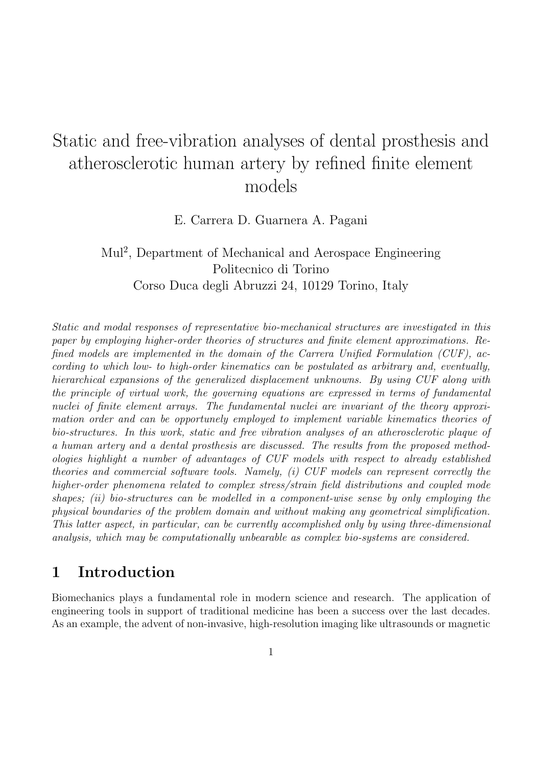# Static and free-vibration analyses of dental prosthesis and atherosclerotic human artery by refined finite element models

E. Carrera D. Guarnera A. Pagani

Mul<sup>2</sup> , Department of Mechanical and Aerospace Engineering Politecnico di Torino Corso Duca degli Abruzzi 24, 10129 Torino, Italy

Static and modal responses of representative bio-mechanical structures are investigated in this paper by employing higher-order theories of structures and finite element approximations. Refined models are implemented in the domain of the Carrera Unified Formulation (CUF), according to which low- to high-order kinematics can be postulated as arbitrary and, eventually, hierarchical expansions of the generalized displacement unknowns. By using CUF along with the principle of virtual work, the governing equations are expressed in terms of fundamental nuclei of finite element arrays. The fundamental nuclei are invariant of the theory approximation order and can be opportunely employed to implement variable kinematics theories of bio-structures. In this work, static and free vibration analyses of an atherosclerotic plaque of a human artery and a dental prosthesis are discussed. The results from the proposed methodologies highlight a number of advantages of CUF models with respect to already established theories and commercial software tools. Namely, (i) CUF models can represent correctly the higher-order phenomena related to complex stress/strain field distributions and coupled mode shapes; (ii) bio-structures can be modelled in a component-wise sense by only employing the physical boundaries of the problem domain and without making any geometrical simplification. This latter aspect, in particular, can be currently accomplished only by using three-dimensional analysis, which may be computationally unbearable as complex bio-systems are considered.

# 1 Introduction

Biomechanics plays a fundamental role in modern science and research. The application of engineering tools in support of traditional medicine has been a success over the last decades. As an example, the advent of non-invasive, high-resolution imaging like ultrasounds or magnetic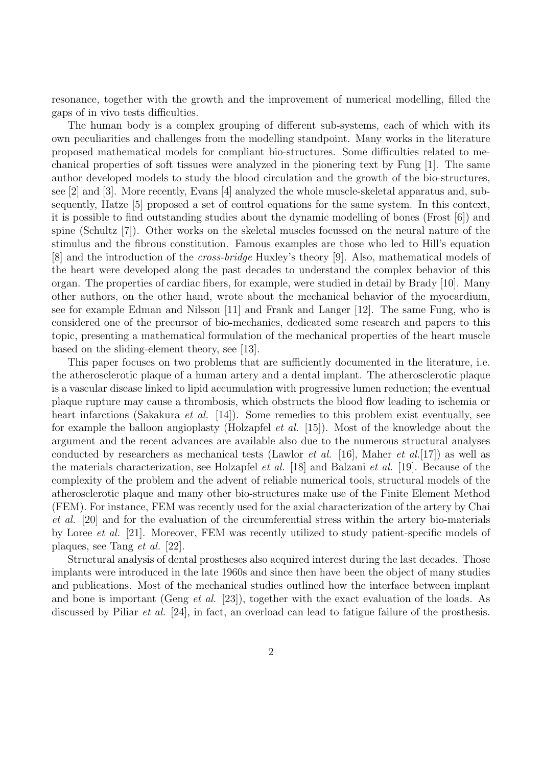resonance, together with the growth and the improvement of numerical modelling, filled the gaps of in vivo tests difficulties.

The human body is a complex grouping of different sub-systems, each of which with its own peculiarities and challenges from the modelling standpoint. Many works in the literature proposed mathematical models for compliant bio-structures. Some difficulties related to mechanical properties of soft tissues were analyzed in the pionering text by Fung [1]. The same author developed models to study the blood circulation and the growth of the bio-structures, see [2] and [3]. More recently, Evans [4] analyzed the whole muscle-skeletal apparatus and, subsequently, Hatze [5] proposed a set of control equations for the same system. In this context, it is possible to find outstanding studies about the dynamic modelling of bones (Frost [6]) and spine (Schultz [7]). Other works on the skeletal muscles focussed on the neural nature of the stimulus and the fibrous constitution. Famous examples are those who led to Hill's equation [8] and the introduction of the cross-bridge Huxley's theory [9]. Also, mathematical models of the heart were developed along the past decades to understand the complex behavior of this organ. The properties of cardiac fibers, for example, were studied in detail by Brady [10]. Many other authors, on the other hand, wrote about the mechanical behavior of the myocardium, see for example Edman and Nilsson [11] and Frank and Langer [12]. The same Fung, who is considered one of the precursor of bio-mechanics, dedicated some research and papers to this topic, presenting a mathematical formulation of the mechanical properties of the heart muscle based on the sliding-element theory, see [13].

This paper focuses on two problems that are sufficiently documented in the literature, i.e. the atherosclerotic plaque of a human artery and a dental implant. The atherosclerotic plaque is a vascular disease linked to lipid accumulation with progressive lumen reduction; the eventual plaque rupture may cause a thrombosis, which obstructs the blood flow leading to ischemia or heart infarctions (Sakakura *et al.* [14]). Some remedies to this problem exist eventually, see for example the balloon angioplasty (Holzapfel *et al.* [15]). Most of the knowledge about the argument and the recent advances are available also due to the numerous structural analyses conducted by researchers as mechanical tests (Lawlor *et al.* [16], Maher *et al.* [17]) as well as the materials characterization, see Holzapfel et al. [18] and Balzani et al. [19]. Because of the complexity of the problem and the advent of reliable numerical tools, structural models of the atherosclerotic plaque and many other bio-structures make use of the Finite Element Method (FEM). For instance, FEM was recently used for the axial characterization of the artery by Chai et al. [20] and for the evaluation of the circumferential stress within the artery bio-materials by Loree et al. [21]. Moreover, FEM was recently utilized to study patient-specific models of plaques, see Tang et al. [22].

Structural analysis of dental prostheses also acquired interest during the last decades. Those implants were introduced in the late 1960s and since then have been the object of many studies and publications. Most of the mechanical studies outlined how the interface between implant and bone is important (Geng *et al.* [23]), together with the exact evaluation of the loads. As discussed by Piliar *et al.* [24], in fact, an overload can lead to fatigue failure of the prosthesis.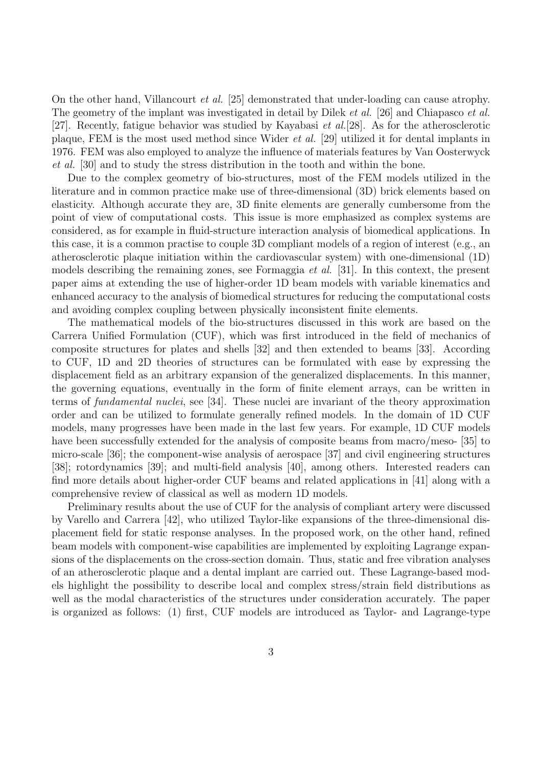On the other hand, Villancourt et al. [25] demonstrated that under-loading can cause atrophy. The geometry of the implant was investigated in detail by Dilek *et al.* [26] and Chiapasco *et al.* [27]. Recently, fatigue behavior was studied by Kayabasi et al.[28]. As for the atherosclerotic plaque, FEM is the most used method since Wider et al. [29] utilized it for dental implants in 1976. FEM was also employed to analyze the influence of materials features by Van Oosterwyck et al. [30] and to study the stress distribution in the tooth and within the bone.

Due to the complex geometry of bio-structures, most of the FEM models utilized in the literature and in common practice make use of three-dimensional (3D) brick elements based on elasticity. Although accurate they are, 3D finite elements are generally cumbersome from the point of view of computational costs. This issue is more emphasized as complex systems are considered, as for example in fluid-structure interaction analysis of biomedical applications. In this case, it is a common practise to couple 3D compliant models of a region of interest (e.g., an atherosclerotic plaque initiation within the cardiovascular system) with one-dimensional (1D) models describing the remaining zones, see Formaggia et al. [31]. In this context, the present paper aims at extending the use of higher-order 1D beam models with variable kinematics and enhanced accuracy to the analysis of biomedical structures for reducing the computational costs and avoiding complex coupling between physically inconsistent finite elements.

The mathematical models of the bio-structures discussed in this work are based on the Carrera Unified Formulation (CUF), which was first introduced in the field of mechanics of composite structures for plates and shells [32] and then extended to beams [33]. According to CUF, 1D and 2D theories of structures can be formulated with ease by expressing the displacement field as an arbitrary expansion of the generalized displacements. In this manner, the governing equations, eventually in the form of finite element arrays, can be written in terms of fundamental nuclei, see [34]. These nuclei are invariant of the theory approximation order and can be utilized to formulate generally refined models. In the domain of 1D CUF models, many progresses have been made in the last few years. For example, 1D CUF models have been successfully extended for the analysis of composite beams from macro/meso- [35] to micro-scale [36]; the component-wise analysis of aerospace [37] and civil engineering structures [38]; rotordynamics [39]; and multi-field analysis [40], among others. Interested readers can find more details about higher-order CUF beams and related applications in [41] along with a comprehensive review of classical as well as modern 1D models.

Preliminary results about the use of CUF for the analysis of compliant artery were discussed by Varello and Carrera [42], who utilized Taylor-like expansions of the three-dimensional displacement field for static response analyses. In the proposed work, on the other hand, refined beam models with component-wise capabilities are implemented by exploiting Lagrange expansions of the displacements on the cross-section domain. Thus, static and free vibration analyses of an atherosclerotic plaque and a dental implant are carried out. These Lagrange-based models highlight the possibility to describe local and complex stress/strain field distributions as well as the modal characteristics of the structures under consideration accurately. The paper is organized as follows: (1) first, CUF models are introduced as Taylor- and Lagrange-type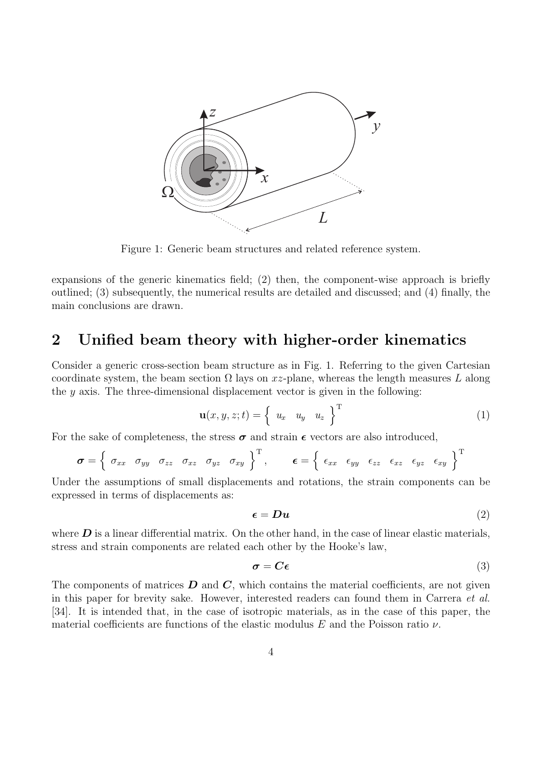

Figure 1: Generic beam structures and related reference system.

expansions of the generic kinematics field; (2) then, the component-wise approach is briefly outlined; (3) subsequently, the numerical results are detailed and discussed; and (4) finally, the main conclusions are drawn.

# 2 Unified beam theory with higher-order kinematics

Consider a generic cross-section beam structure as in Fig. 1. Referring to the given Cartesian coordinate system, the beam section  $\Omega$  lays on xz-plane, whereas the length measures L along the  $y$  axis. The three-dimensional displacement vector is given in the following:

$$
\mathbf{u}(x, y, z; t) = \begin{cases} u_x & u_y & u_z \end{cases}^{\mathrm{T}} \tag{1}
$$

For the sake of completeness, the stress  $\sigma$  and strain  $\epsilon$  vectors are also introduced,

$$
\boldsymbol{\sigma} = \left\{ \begin{array}{cccc} \sigma_{xx} & \sigma_{yy} & \sigma_{zz} & \sigma_{xz} & \sigma_{yz} & \sigma_{xy} \end{array} \right\}^{\mathrm{T}}, \qquad \boldsymbol{\epsilon} = \left\{ \begin{array}{cccc} \epsilon_{xx} & \epsilon_{yy} & \epsilon_{zz} & \epsilon_{xz} & \epsilon_{yz} & \epsilon_{xy} \end{array} \right\}^{\mathrm{T}}
$$

Under the assumptions of small displacements and rotations, the strain components can be expressed in terms of displacements as:

$$
\epsilon = D u \tag{2}
$$

where  $\bm{D}$  is a linear differential matrix. On the other hand, in the case of linear elastic materials, stress and strain components are related each other by the Hooke's law,

$$
\boldsymbol{\sigma} = \boldsymbol{C}\boldsymbol{\epsilon} \tag{3}
$$

The components of matrices  $D$  and  $C$ , which contains the material coefficients, are not given in this paper for brevity sake. However, interested readers can found them in Carrera et al. [34]. It is intended that, in the case of isotropic materials, as in the case of this paper, the material coefficients are functions of the elastic modulus E and the Poisson ratio  $\nu$ .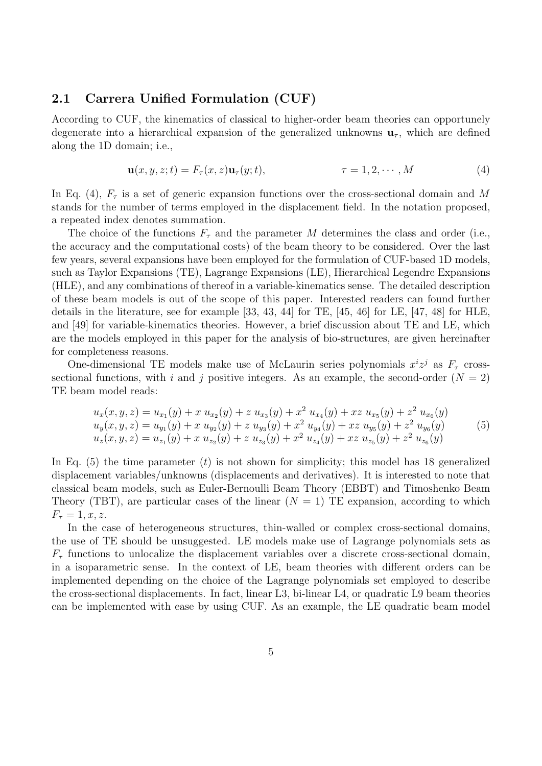### 2.1 Carrera Unified Formulation (CUF)

According to CUF, the kinematics of classical to higher-order beam theories can opportunely degenerate into a hierarchical expansion of the generalized unknowns  $\mathbf{u}_{\tau}$ , which are defined along the 1D domain; i.e.,

$$
\mathbf{u}(x, y, z; t) = F_{\tau}(x, z)\mathbf{u}_{\tau}(y; t), \qquad \tau = 1, 2, \cdots, M \qquad (4)
$$

In Eq. (4),  $F_{\tau}$  is a set of generic expansion functions over the cross-sectional domain and M stands for the number of terms employed in the displacement field. In the notation proposed, a repeated index denotes summation.

The choice of the functions  $F_{\tau}$  and the parameter M determines the class and order (i.e., the accuracy and the computational costs) of the beam theory to be considered. Over the last few years, several expansions have been employed for the formulation of CUF-based 1D models, such as Taylor Expansions (TE), Lagrange Expansions (LE), Hierarchical Legendre Expansions (HLE), and any combinations of thereof in a variable-kinematics sense. The detailed description of these beam models is out of the scope of this paper. Interested readers can found further details in the literature, see for example [33, 43, 44] for TE, [45, 46] for LE, [47, 48] for HLE, and [49] for variable-kinematics theories. However, a brief discussion about TE and LE, which are the models employed in this paper for the analysis of bio-structures, are given hereinafter for completeness reasons.

One-dimensional TE models make use of McLaurin series polynomials  $x^i z^j$  as  $F_\tau$  crosssectional functions, with i and j positive integers. As an example, the second-order  $(N = 2)$ TE beam model reads:

$$
u_x(x, y, z) = u_{x_1}(y) + x u_{x_2}(y) + z u_{x_3}(y) + x^2 u_{x_4}(y) + x z u_{x_5}(y) + z^2 u_{x_6}(y)
$$
  
\n
$$
u_y(x, y, z) = u_{y_1}(y) + x u_{y_2}(y) + z u_{y_3}(y) + x^2 u_{y_4}(y) + x z u_{y_5}(y) + z^2 u_{y_6}(y)
$$
  
\n
$$
u_z(x, y, z) = u_{z_1}(y) + x u_{z_2}(y) + z u_{z_3}(y) + x^2 u_{z_4}(y) + x z u_{z_5}(y) + z^2 u_{z_6}(y)
$$
\n(5)

In Eq.  $(5)$  the time parameter  $(t)$  is not shown for simplicity; this model has 18 generalized displacement variables/unknowns (displacements and derivatives). It is interested to note that classical beam models, such as Euler-Bernoulli Beam Theory (EBBT) and Timoshenko Beam Theory (TBT), are particular cases of the linear  $(N = 1)$  TE expansion, according to which  $F_{\tau} = 1, x, z.$ 

In the case of heterogeneous structures, thin-walled or complex cross-sectional domains, the use of TE should be unsuggested. LE models make use of Lagrange polynomials sets as  $F_{\tau}$  functions to unlocalize the displacement variables over a discrete cross-sectional domain, in a isoparametric sense. In the context of LE, beam theories with different orders can be implemented depending on the choice of the Lagrange polynomials set employed to describe the cross-sectional displacements. In fact, linear L3, bi-linear L4, or quadratic L9 beam theories can be implemented with ease by using CUF. As an example, the LE quadratic beam model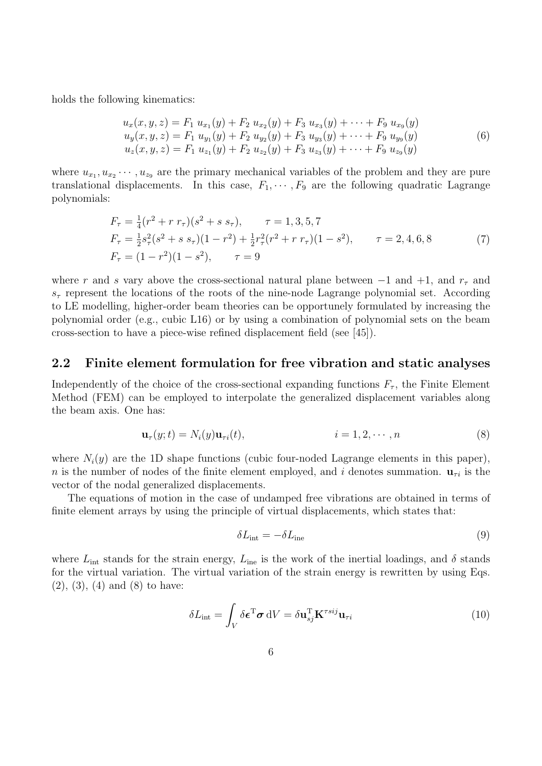holds the following kinematics:

$$
u_x(x, y, z) = F_1 u_{x_1}(y) + F_2 u_{x_2}(y) + F_3 u_{x_3}(y) + \cdots + F_9 u_{x_9}(y)
$$
  
\n
$$
u_y(x, y, z) = F_1 u_{y_1}(y) + F_2 u_{y_2}(y) + F_3 u_{y_3}(y) + \cdots + F_9 u_{y_9}(y)
$$
  
\n
$$
u_z(x, y, z) = F_1 u_{z_1}(y) + F_2 u_{z_2}(y) + F_3 u_{z_3}(y) + \cdots + F_9 u_{z_9}(y)
$$
\n(6)

where  $u_{x_1}, u_{x_2} \cdots, u_{x_9}$  are the primary mechanical variables of the problem and they are pure translational displacements. In this case,  $F_1, \dots, F_9$  are the following quadratic Lagrange polynomials:

$$
F_{\tau} = \frac{1}{4}(r^2 + r r_{\tau})(s^2 + s s_{\tau}), \qquad \tau = 1, 3, 5, 7
$$
  
\n
$$
F_{\tau} = \frac{1}{2}s_{\tau}^2(s^2 + s s_{\tau})(1 - r^2) + \frac{1}{2}r_{\tau}^2(r^2 + r r_{\tau})(1 - s^2), \qquad \tau = 2, 4, 6, 8
$$
  
\n
$$
F_{\tau} = (1 - r^2)(1 - s^2), \qquad \tau = 9
$$
\n(7)

where r and s vary above the cross-sectional natural plane between  $-1$  and  $+1$ , and  $r<sub>\tau</sub>$  and  $s<sub>\tau</sub>$  represent the locations of the roots of the nine-node Lagrange polynomial set. According to LE modelling, higher-order beam theories can be opportunely formulated by increasing the polynomial order (e.g., cubic L16) or by using a combination of polynomial sets on the beam cross-section to have a piece-wise refined displacement field (see [45]).

### 2.2 Finite element formulation for free vibration and static analyses

Independently of the choice of the cross-sectional expanding functions  $F_{\tau}$ , the Finite Element Method (FEM) can be employed to interpolate the generalized displacement variables along the beam axis. One has:

$$
\mathbf{u}_{\tau}(y;t) = N_i(y)\mathbf{u}_{\tau i}(t), \qquad i = 1,2,\cdots,n \qquad (8)
$$

where  $N_i(y)$  are the 1D shape functions (cubic four-noded Lagrange elements in this paper), n is the number of nodes of the finite element employed, and i denotes summation.  $\mathbf{u}_{\tau i}$  is the vector of the nodal generalized displacements.

The equations of motion in the case of undamped free vibrations are obtained in terms of finite element arrays by using the principle of virtual displacements, which states that:

$$
\delta L_{\text{int}} = -\delta L_{\text{ine}} \tag{9}
$$

where  $L_{\text{int}}$  stands for the strain energy,  $L_{\text{ine}}$  is the work of the inertial loadings, and  $\delta$  stands for the virtual variation. The virtual variation of the strain energy is rewritten by using Eqs.  $(2), (3), (4)$  and  $(8)$  to have:

$$
\delta L_{\rm int} = \int_{V} \delta \boldsymbol{\epsilon}^{\rm T} \boldsymbol{\sigma} \, \mathrm{d}V = \delta \mathbf{u}_{sj}^{\rm T} \mathbf{K}^{\tau s i j} \mathbf{u}_{\tau i}
$$
(10)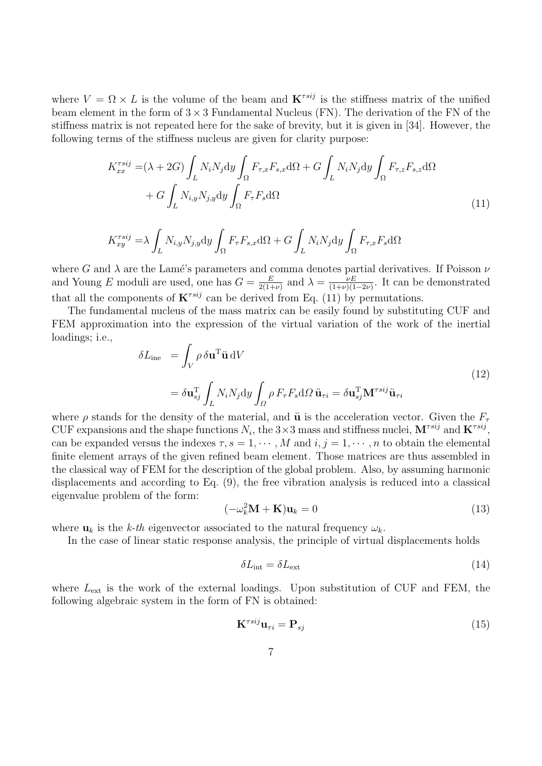where  $V = \Omega \times L$  is the volume of the beam and  $\mathbf{K}^{rsij}$  is the stiffness matrix of the unified beam element in the form of  $3 \times 3$  Fundamental Nucleus (FN). The derivation of the FN of the stiffness matrix is not repeated here for the sake of brevity, but it is given in [34]. However, the following terms of the stiffness nucleus are given for clarity purpose:

$$
K_{xx}^{\tau s i j} = (\lambda + 2G) \int_L N_i N_j \mathrm{d}y \int_{\Omega} F_{\tau,x} F_{s,x} \mathrm{d}\Omega + G \int_L N_i N_j \mathrm{d}y \int_{\Omega} F_{\tau,z} F_{s,z} \mathrm{d}\Omega + G \int_L N_{i,y} N_{j,y} \mathrm{d}y \int_{\Omega} F_{\tau} F_s \mathrm{d}\Omega
$$
\n(11)

$$
K_{xy}^{\tau s i j} = \lambda \int_{L} N_{i,y} N_{j,y} dy \int_{\Omega} F_{\tau} F_{s,x} d\Omega + G \int_{L} N_{i} N_{j} dy \int_{\Omega} F_{\tau,x} F_{s} d\Omega
$$

where G and  $\lambda$  are the Lamé's parameters and comma denotes partial derivatives. If Poisson  $\nu$ and Young E moduli are used, one has  $G = \frac{E}{2(1.4)}$  $\frac{E}{2(1+\nu)}$  and  $\lambda = \frac{\nu E}{(1+\nu)(1+\nu)}$  $\frac{\nu E}{(1+\nu)(1-2\nu)}$ . It can be demonstrated that all the components of  $\mathbf{K}^{rsij}$  can be derived from Eq. (11) by permutations.

The fundamental nucleus of the mass matrix can be easily found by substituting CUF and FEM approximation into the expression of the virtual variation of the work of the inertial loadings; i.e.,

$$
\delta L_{\text{ine}} = \int_{V} \rho \, \delta \mathbf{u}^{\text{T}} \ddot{\mathbf{u}} \, \mathrm{d}V
$$
\n
$$
= \delta \mathbf{u}_{sj}^{\text{T}} \int_{L} N_{i} N_{j} \mathrm{d}y \int_{\Omega} \rho \, F_{\tau} F_{s} \mathrm{d}\Omega \, \ddot{\mathbf{u}}_{\tau i} = \delta \mathbf{u}_{sj}^{\text{T}} \mathbf{M}^{\tau s i j} \ddot{\mathbf{u}}_{\tau i}
$$
\n(12)

where  $\rho$  stands for the density of the material, and  $\ddot{u}$  is the acceleration vector. Given the  $F_{\tau}$ CUF expansions and the shape functions  $N_i$ , the 3×3 mass and stiffness nuclei,  $\mathbf{M}^{rsij}$  and  $\mathbf{K}^{rsij}$ , can be expanded versus the indexes  $\tau$ ,  $s = 1, \dots, M$  and  $i, j = 1, \dots, n$  to obtain the elemental finite element arrays of the given refined beam element. Those matrices are thus assembled in the classical way of FEM for the description of the global problem. Also, by assuming harmonic displacements and according to Eq. (9), the free vibration analysis is reduced into a classical eigenvalue problem of the form:

$$
(-\omega_k^2 \mathbf{M} + \mathbf{K}) \mathbf{u}_k = 0 \tag{13}
$$

where  $\mathbf{u}_k$  is the k-th eigenvector associated to the natural frequency  $\omega_k$ .

In the case of linear static response analysis, the principle of virtual displacements holds

$$
\delta L_{\rm int} = \delta L_{\rm ext} \tag{14}
$$

where  $L_{\text{ext}}$  is the work of the external loadings. Upon substitution of CUF and FEM, the following algebraic system in the form of FN is obtained:

$$
\mathbf{K}^{\tau s i j} \mathbf{u}_{\tau i} = \mathbf{P}_{s j} \tag{15}
$$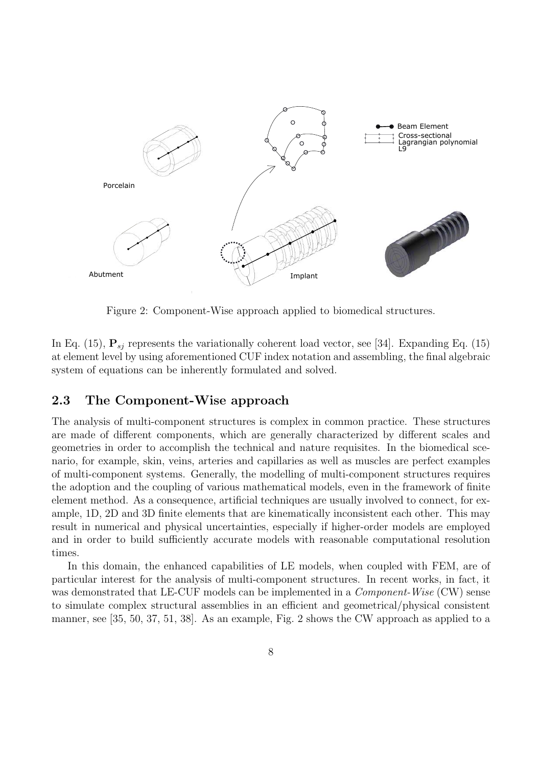

Figure 2: Component-Wise approach applied to biomedical structures.

In Eq. (15),  $P_{si}$  represents the variationally coherent load vector, see [34]. Expanding Eq. (15) at element level by using aforementioned CUF index notation and assembling, the final algebraic system of equations can be inherently formulated and solved.

### 2.3 The Component-Wise approach

The analysis of multi-component structures is complex in common practice. These structures are made of different components, which are generally characterized by different scales and geometries in order to accomplish the technical and nature requisites. In the biomedical scenario, for example, skin, veins, arteries and capillaries as well as muscles are perfect examples of multi-component systems. Generally, the modelling of multi-component structures requires the adoption and the coupling of various mathematical models, even in the framework of finite element method. As a consequence, artificial techniques are usually involved to connect, for example, 1D, 2D and 3D finite elements that are kinematically inconsistent each other. This may result in numerical and physical uncertainties, especially if higher-order models are employed and in order to build sufficiently accurate models with reasonable computational resolution times.

In this domain, the enhanced capabilities of LE models, when coupled with FEM, are of particular interest for the analysis of multi-component structures. In recent works, in fact, it was demonstrated that LE-CUF models can be implemented in a *Component-Wise* (CW) sense to simulate complex structural assemblies in an efficient and geometrical/physical consistent manner, see [35, 50, 37, 51, 38]. As an example, Fig. 2 shows the CW approach as applied to a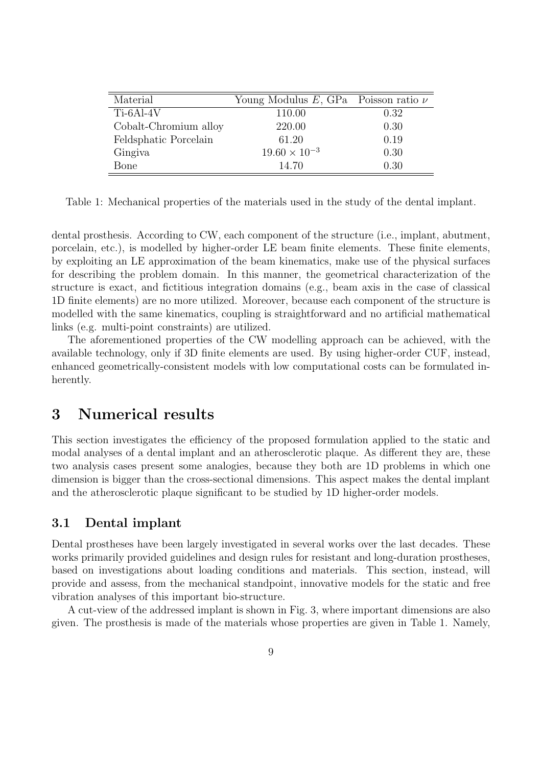| Material              | Young Modulus $E$ , GPa Poisson ratio $\nu$ |      |
|-----------------------|---------------------------------------------|------|
| $Ti-6Al-4V$           | 110.00                                      | 0.32 |
| Cobalt-Chromium alloy | 220.00                                      | 0.30 |
| Feldsphatic Porcelain | 61.20                                       | 0.19 |
| Gingiva               | $19.60 \times 10^{-3}$                      | 0.30 |
| Bone                  | 14.70                                       | 0.30 |

Table 1: Mechanical properties of the materials used in the study of the dental implant.

dental prosthesis. According to CW, each component of the structure (i.e., implant, abutment, porcelain, etc.), is modelled by higher-order LE beam finite elements. These finite elements, by exploiting an LE approximation of the beam kinematics, make use of the physical surfaces for describing the problem domain. In this manner, the geometrical characterization of the structure is exact, and fictitious integration domains (e.g., beam axis in the case of classical 1D finite elements) are no more utilized. Moreover, because each component of the structure is modelled with the same kinematics, coupling is straightforward and no artificial mathematical links (e.g. multi-point constraints) are utilized.

The aforementioned properties of the CW modelling approach can be achieved, with the available technology, only if 3D finite elements are used. By using higher-order CUF, instead, enhanced geometrically-consistent models with low computational costs can be formulated inherently.

### 3 Numerical results

This section investigates the efficiency of the proposed formulation applied to the static and modal analyses of a dental implant and an atherosclerotic plaque. As different they are, these two analysis cases present some analogies, because they both are 1D problems in which one dimension is bigger than the cross-sectional dimensions. This aspect makes the dental implant and the atherosclerotic plaque significant to be studied by 1D higher-order models.

### 3.1 Dental implant

Dental prostheses have been largely investigated in several works over the last decades. These works primarily provided guidelines and design rules for resistant and long-duration prostheses, based on investigations about loading conditions and materials. This section, instead, will provide and assess, from the mechanical standpoint, innovative models for the static and free vibration analyses of this important bio-structure.

A cut-view of the addressed implant is shown in Fig. 3, where important dimensions are also given. The prosthesis is made of the materials whose properties are given in Table 1. Namely,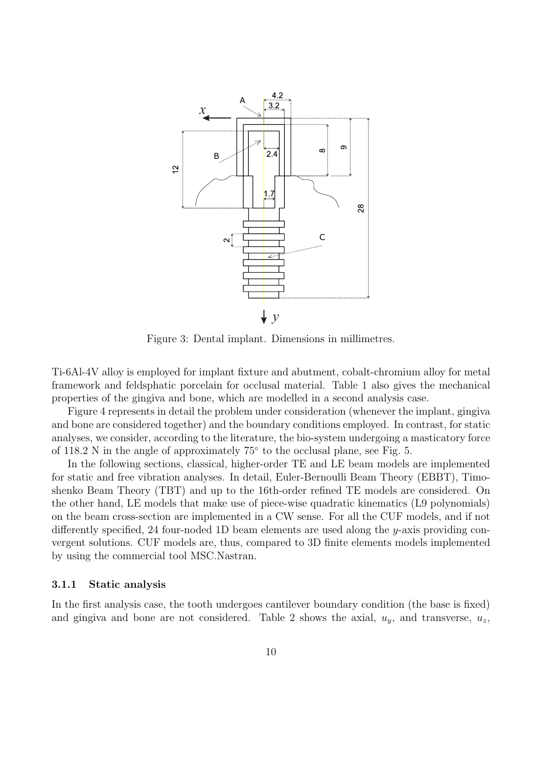

Figure 3: Dental implant. Dimensions in millimetres.

Ti-6Al-4V alloy is employed for implant fixture and abutment, cobalt-chromium alloy for metal framework and feldsphatic porcelain for occlusal material. Table 1 also gives the mechanical properties of the gingiva and bone, which are modelled in a second analysis case.

Figure 4 represents in detail the problem under consideration (whenever the implant, gingiva and bone are considered together) and the boundary conditions employed. In contrast, for static analyses, we consider, according to the literature, the bio-system undergoing a masticatory force of 118.2 N in the angle of approximately 75◦ to the occlusal plane, see Fig. 5.

In the following sections, classical, higher-order TE and LE beam models are implemented for static and free vibration analyses. In detail, Euler-Bernoulli Beam Theory (EBBT), Timoshenko Beam Theory (TBT) and up to the 16th-order refined TE models are considered. On the other hand, LE models that make use of piece-wise quadratic kinematics (L9 polynomials) on the beam cross-section are implemented in a CW sense. For all the CUF models, and if not differently specified, 24 four-noded 1D beam elements are used along the y-axis providing convergent solutions. CUF models are, thus, compared to 3D finite elements models implemented by using the commercial tool MSC.Nastran.

#### 3.1.1 Static analysis

In the first analysis case, the tooth undergoes cantilever boundary condition (the base is fixed) and gingiva and bone are not considered. Table 2 shows the axial,  $u_y$ , and transverse,  $u_z$ ,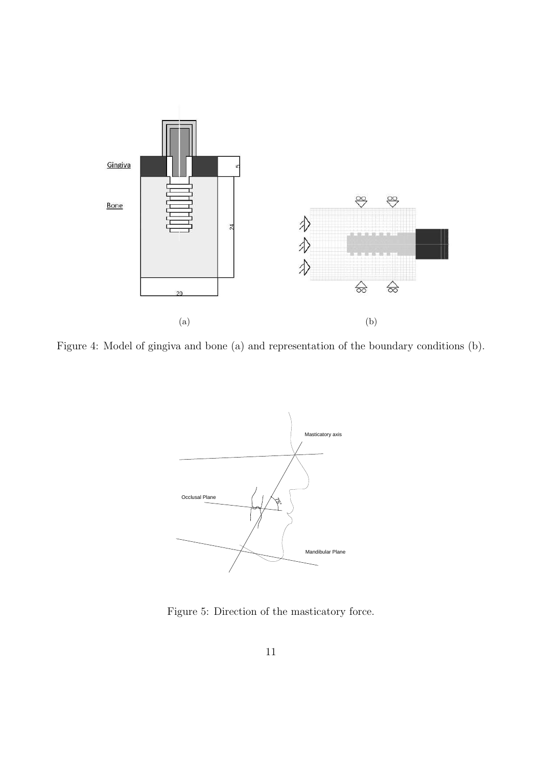

Figure 4: Model of gingiva and bone (a) and representation of the boundary conditions (b).



Figure 5: Direction of the masticatory force.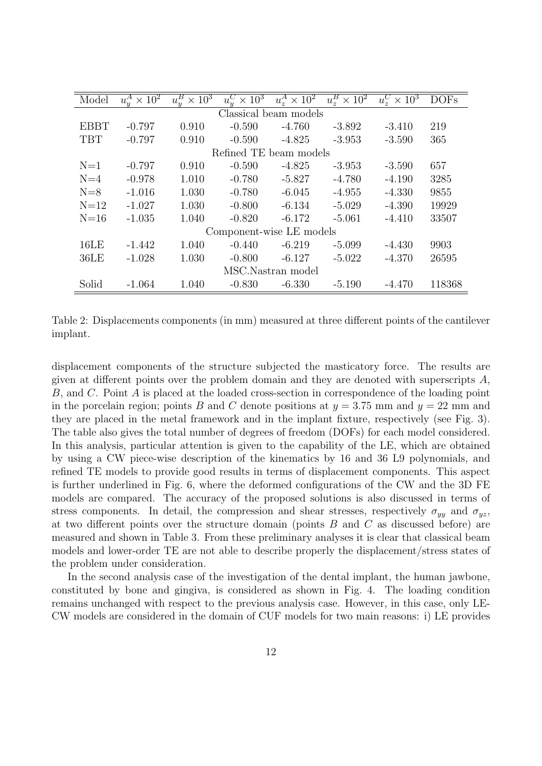| Model       | $u^A_u \times 10^2$   | $u_n^B \times 10^3$ | $\times 10^3$<br>$u_u^C$ | $u^A_z \times \overline{10^2}$ | $u_z^B \times 10^2$ | $u_*^C \times 10^3$ | <b>DOFs</b> |  |  |  |  |
|-------------|-----------------------|---------------------|--------------------------|--------------------------------|---------------------|---------------------|-------------|--|--|--|--|
|             | Classical beam models |                     |                          |                                |                     |                     |             |  |  |  |  |
| <b>EBBT</b> | $-0.797$              | 0.910               | $-0.590$                 | $-4.760$                       | $-3.892$            | $-3.410$            | 219         |  |  |  |  |
| <b>TBT</b>  | $-0.797$              | 0.910               | $-0.590$                 | $-4.825$                       | $-3.953$            | $-3.590$            | 365         |  |  |  |  |
|             |                       |                     | Refined TE beam models   |                                |                     |                     |             |  |  |  |  |
| $N=1$       | $-0.797$              | 0.910               | $-0.590$                 | $-4.825$                       | -3.953              | $-3.590$            | 657         |  |  |  |  |
| $N=4$       | $-0.978$              | 1.010               | $-0.780$                 | $-5.827$                       | $-4.780$            | $-4.190$            | 3285        |  |  |  |  |
| $N=8$       | $-1.016$              | 1.030               | $-0.780$                 | $-6.045$                       | $-4.955$            | $-4.330$            | 9855        |  |  |  |  |
| $N=12$      | $-1.027$              | 1.030               | $-0.800$                 | $-6.134$                       | $-5.029$            | $-4.390$            | 19929       |  |  |  |  |
| $N=16$      | $-1.035$              | 1.040               | $-0.820$                 | $-6.172$                       | $-5.061$            | $-4.410$            | 33507       |  |  |  |  |
|             |                       |                     | Component-wise LE models |                                |                     |                     |             |  |  |  |  |
| 16LE        | $-1.442$              | 1.040               | $-0.440$                 | $-6.219$                       | $-5.099$            | $-4.430$            | 9903        |  |  |  |  |
| 36LE        | $-1.028$              | 1.030               | $-0.800$                 | $-6.127$                       | $-5.022$            | $-4.370$            | 26595       |  |  |  |  |
|             |                       |                     |                          | MSC.Nastran model              |                     |                     |             |  |  |  |  |
| Solid       | $-1.064$              | 1.040               | $-0.830$                 | $-6.330$                       | $-5.190$            | $-4.470$            | 118368      |  |  |  |  |

Table 2: Displacements components (in mm) measured at three different points of the cantilever implant.

displacement components of the structure subjected the masticatory force. The results are given at different points over the problem domain and they are denoted with superscripts A, B, and C. Point A is placed at the loaded cross-section in correspondence of the loading point in the porcelain region; points B and C denote positions at  $y = 3.75$  mm and  $y = 22$  mm and they are placed in the metal framework and in the implant fixture, respectively (see Fig. 3). The table also gives the total number of degrees of freedom (DOFs) for each model considered. In this analysis, particular attention is given to the capability of the LE, which are obtained by using a CW piece-wise description of the kinematics by 16 and 36 L9 polynomials, and refined TE models to provide good results in terms of displacement components. This aspect is further underlined in Fig. 6, where the deformed configurations of the CW and the 3D FE models are compared. The accuracy of the proposed solutions is also discussed in terms of stress components. In detail, the compression and shear stresses, respectively  $\sigma_{yy}$  and  $\sigma_{yz}$ , at two different points over the structure domain (points B and C as discussed before) are measured and shown in Table 3. From these preliminary analyses it is clear that classical beam models and lower-order TE are not able to describe properly the displacement/stress states of the problem under consideration.

In the second analysis case of the investigation of the dental implant, the human jawbone, constituted by bone and gingiva, is considered as shown in Fig. 4. The loading condition remains unchanged with respect to the previous analysis case. However, in this case, only LE-CW models are considered in the domain of CUF models for two main reasons: i) LE provides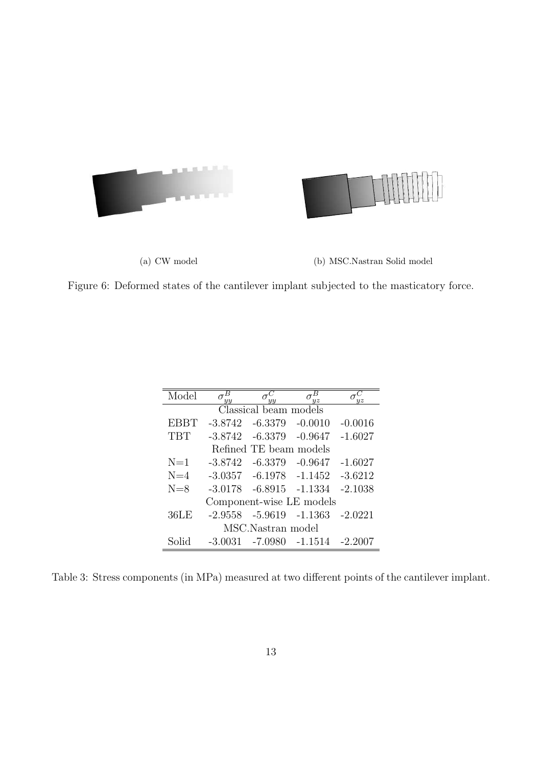



(a) CW model (b) MSC.Nastran Solid model

Figure 6: Deformed states of the cantilever implant subjected to the masticatory force.

| Model       | $\overline{u}$ | $\overline{u}$                            | $\overline{u}z$                         |           |
|-------------|----------------|-------------------------------------------|-----------------------------------------|-----------|
|             |                | $\overline{\text{Classical}}$ beam models |                                         |           |
| <b>EBBT</b> | $-3.8742$      | -6.3379                                   | $-0.0010$                               | $-0.0016$ |
| <b>TBT</b>  | $-3.8742$      | -6.3379                                   | $-0.9647$                               | $-1.6027$ |
|             |                | Refined TE beam models                    |                                         |           |
| $N=1$       | $-3.8742$      | -6.3379                                   | $-0.9647$                               | $-1.6027$ |
| $N=4$       |                | $-3.0357 -6.1978 -1.1452$                 |                                         | $-3.6212$ |
| $N=8$       |                | $-3.0178$ $-6.8915$ $-1.1334$             |                                         | $-2.1038$ |
|             |                |                                           | Component-wise LE models                |           |
| 36LE        |                | $-2.9558 - 5.9619 - 1.1363$               |                                         | $-2.0221$ |
|             |                | MSC.Nastran model                         |                                         |           |
| Solid       |                |                                           | $-3.0031$ $-7.0980$ $-1.1514$ $-2.2007$ |           |

Table 3: Stress components (in MPa) measured at two different points of the cantilever implant.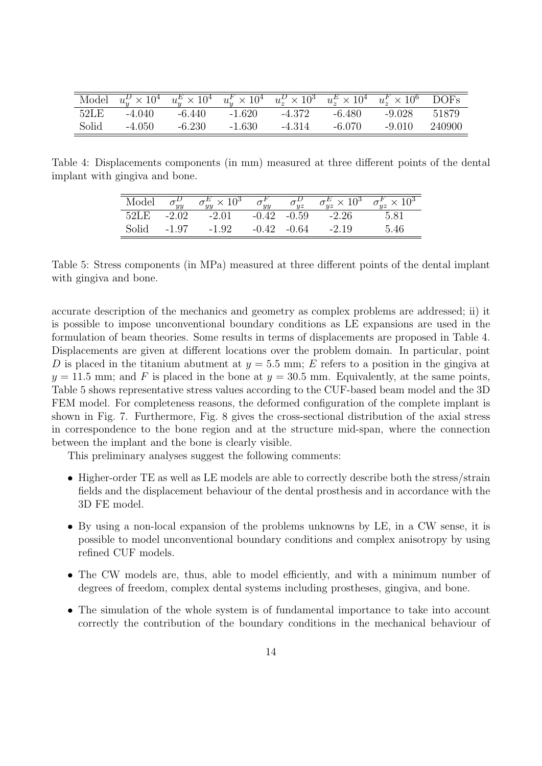|       | Model $u_w^D \times 10^4$ $u_w^E \times 10^4$ $u_w^F \times 10^4$ $u_z^D \times 10^3$ $u_z^E \times 10^4$ $u_z^F \times 10^6$ DOFs |          |          |        |        |              |        |
|-------|------------------------------------------------------------------------------------------------------------------------------------|----------|----------|--------|--------|--------------|--------|
| 52LE  | $-4.040$                                                                                                                           | -6.440   | $-1.620$ | -4.372 | -6.480 | -9.028 51879 |        |
| Solid | $-4.050$                                                                                                                           | $-6.230$ | $-1.630$ | -4.314 | -6.070 | $-9.010$     | 240900 |

Table 4: Displacements components (in mm) measured at three different points of the dental implant with gingiva and bone.

| Model | $\overline{u}$ | $\,\times\,10^3$<br>$\sim$ 1111 | $\overline{u}$ | $\overline{u}z$ | 10 <sup>3</sup><br>$\overline{u}z$ | $\sigma_{yz}^F \times 10^3$<br>$\overline{u}z$ |
|-------|----------------|---------------------------------|----------------|-----------------|------------------------------------|------------------------------------------------|
| 52LE  | $-2.02$        | $-2.01$                         | $-0.42$        | $-0.59$         | $-2.26$                            | 5.81                                           |
| Solid | -1.97          | $-1.92$                         |                | $-0.64$         | $-2.19$                            | 5.46                                           |

Table 5: Stress components (in MPa) measured at three different points of the dental implant with gingiva and bone.

accurate description of the mechanics and geometry as complex problems are addressed; ii) it is possible to impose unconventional boundary conditions as LE expansions are used in the formulation of beam theories. Some results in terms of displacements are proposed in Table 4. Displacements are given at different locations over the problem domain. In particular, point D is placed in the titanium abutment at  $y = 5.5$  mm; E refers to a position in the gingiva at  $y = 11.5$  mm; and F is placed in the bone at  $y = 30.5$  mm. Equivalently, at the same points, Table 5 shows representative stress values according to the CUF-based beam model and the 3D FEM model. For completeness reasons, the deformed configuration of the complete implant is shown in Fig. 7. Furthermore, Fig. 8 gives the cross-sectional distribution of the axial stress in correspondence to the bone region and at the structure mid-span, where the connection between the implant and the bone is clearly visible.

This preliminary analyses suggest the following comments:

- Higher-order TE as well as LE models are able to correctly describe both the stress/strain fields and the displacement behaviour of the dental prosthesis and in accordance with the 3D FE model.
- By using a non-local expansion of the problems unknowns by LE, in a CW sense, it is possible to model unconventional boundary conditions and complex anisotropy by using refined CUF models.
- The CW models are, thus, able to model efficiently, and with a minimum number of degrees of freedom, complex dental systems including prostheses, gingiva, and bone.
- The simulation of the whole system is of fundamental importance to take into account correctly the contribution of the boundary conditions in the mechanical behaviour of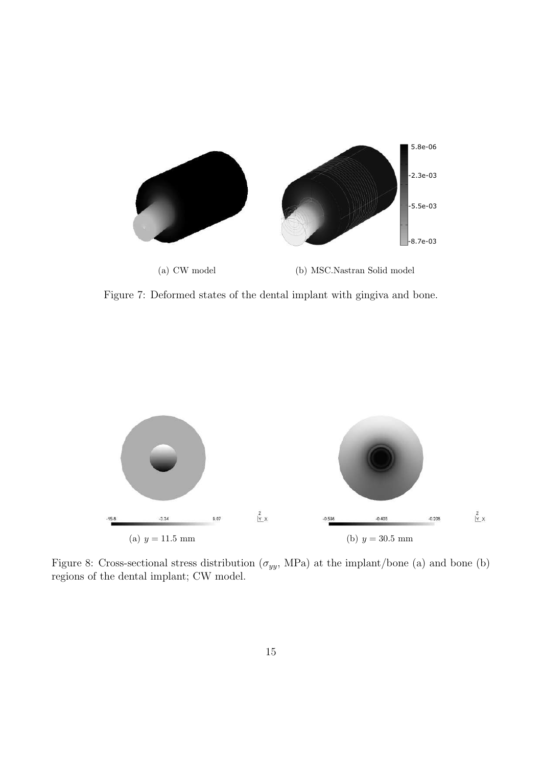

Figure 7: Deformed states of the dental implant with gingiva and bone.



Figure 8: Cross-sectional stress distribution  $(\sigma_{yy}$ , MPa) at the implant/bone (a) and bone (b) regions of the dental implant; CW model.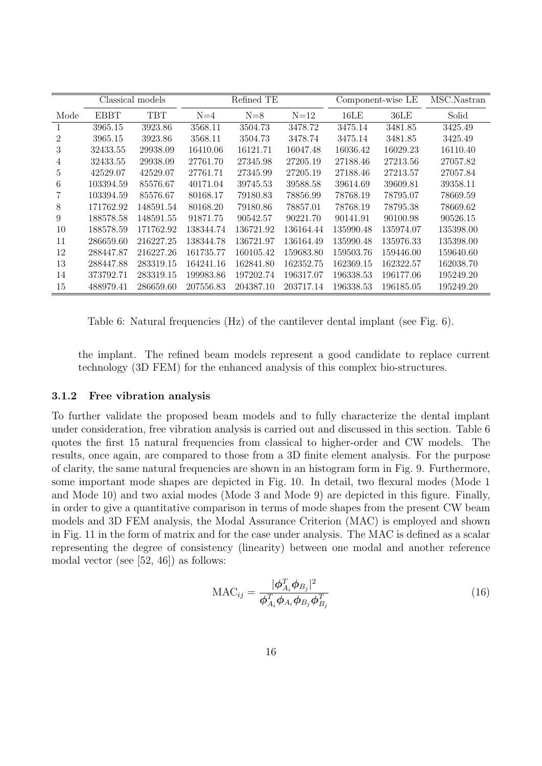|                |           | Classical models |           | Refined TE |           |           | Component-wise LE | MSC.Nastran |
|----------------|-----------|------------------|-----------|------------|-----------|-----------|-------------------|-------------|
| Mode           | EBBT      | TBT              | $N=4$     | $N=8$      | $N=12$    | 16LE      | 36LE              | Solid       |
|                | 3965.15   | 3923.86          | 3568.11   | 3504.73    | 3478.72   | 3475.14   | 3481.85           | 3425.49     |
| $\overline{2}$ | 3965.15   | 3923.86          | 3568.11   | 3504.73    | 3478.74   | 3475.14   | 3481.85           | 3425.49     |
| 3              | 32433.55  | 29938.09         | 16410.06  | 16121.71   | 16047.48  | 16036.42  | 16029.23          | 16110.40    |
| 4              | 32433.55  | 29938.09         | 27761.70  | 27345.98   | 27205.19  | 27188.46  | 27213.56          | 27057.82    |
| 5              | 42529.07  | 42529.07         | 27761.71  | 27345.99   | 27205.19  | 27188.46  | 27213.57          | 27057.84    |
| 6              | 103394.59 | 85576.67         | 40171.04  | 39745.53   | 39588.58  | 39614.69  | 39609.81          | 39358.11    |
|                | 103394.59 | 85576.67         | 80168.17  | 79180.83   | 78856.99  | 78768.19  | 78795.07          | 78669.59    |
| 8              | 171762.92 | 148591.54        | 80168.20  | 79180.86   | 78857.01  | 78768.19  | 78795.38          | 78669.62    |
| 9              | 188578.58 | 148591.55        | 91871.75  | 90542.57   | 90221.70  | 90141.91  | 90100.98          | 90526.15    |
| 10             | 188578.59 | 171762.92        | 138344.74 | 136721.92  | 136164.44 | 135990.48 | 135974.07         | 135398.00   |
| 11             | 286659.60 | 216227.25        | 138344.78 | 136721.97  | 136164.49 | 135990.48 | 135976.33         | 135398.00   |
| 12             | 288447.87 | 216227.26        | 161735.77 | 160105.42  | 159683.80 | 159503.76 | 159446.00         | 159640.60   |
| 13             | 288447.88 | 283319.15        | 164241.16 | 162841.80  | 162352.75 | 162369.15 | 162322.57         | 162038.70   |
| 14             | 373792.71 | 283319.15        | 199983.86 | 197202.74  | 196317.07 | 196338.53 | 196177.06         | 195249.20   |
| 15             | 488979.41 | 286659.60        | 207556.83 | 204387.10  | 203717.14 | 196338.53 | 196185.05         | 195249.20   |

Table 6: Natural frequencies (Hz) of the cantilever dental implant (see Fig. 6).

the implant. The refined beam models represent a good candidate to replace current technology (3D FEM) for the enhanced analysis of this complex bio-structures.

#### 3.1.2 Free vibration analysis

To further validate the proposed beam models and to fully characterize the dental implant under consideration, free vibration analysis is carried out and discussed in this section. Table 6 quotes the first 15 natural frequencies from classical to higher-order and CW models. The results, once again, are compared to those from a 3D finite element analysis. For the purpose of clarity, the same natural frequencies are shown in an histogram form in Fig. 9. Furthermore, some important mode shapes are depicted in Fig. 10. In detail, two flexural modes (Mode 1 and Mode 10) and two axial modes (Mode 3 and Mode 9) are depicted in this figure. Finally, in order to give a quantitative comparison in terms of mode shapes from the present CW beam models and 3D FEM analysis, the Modal Assurance Criterion (MAC) is employed and shown in Fig. 11 in the form of matrix and for the case under analysis. The MAC is defined as a scalar representing the degree of consistency (linearity) between one modal and another reference modal vector (see [52, 46]) as follows:

$$
\text{MAC}_{ij} = \frac{|\boldsymbol{\phi}_{A_i}^T \boldsymbol{\phi}_{B_j}|^2}{\boldsymbol{\phi}_{A_i}^T \boldsymbol{\phi}_{A_i} \boldsymbol{\phi}_{B_j} \boldsymbol{\phi}_{B_j}^T}
$$
(16)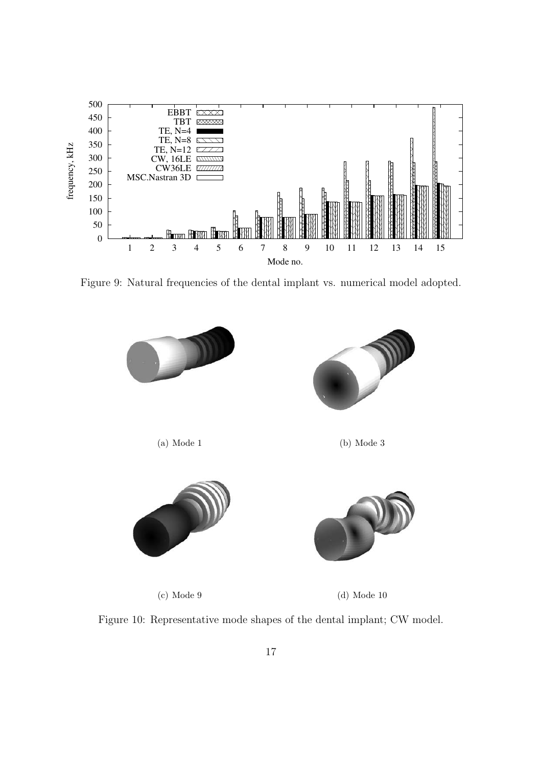

Figure 9: Natural frequencies of the dental implant vs. numerical model adopted.



(c) Mode 9 (d) Mode 10

Figure 10: Representative mode shapes of the dental implant; CW model.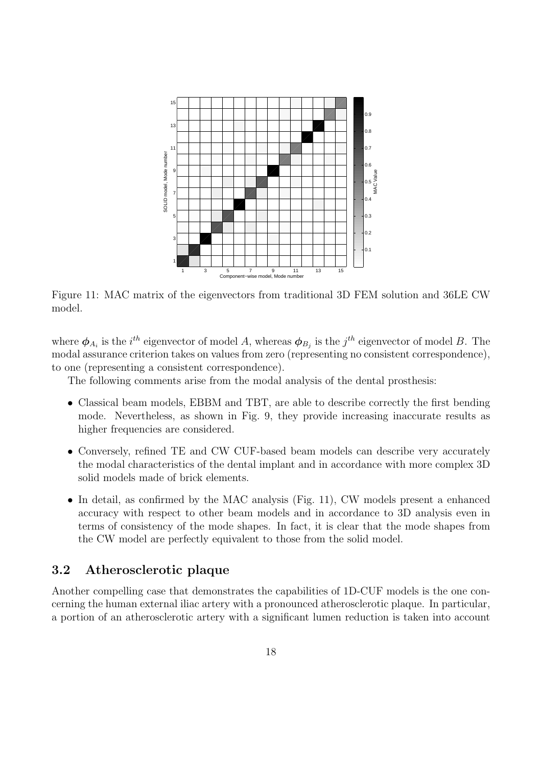

Figure 11: MAC matrix of the eigenvectors from traditional 3D FEM solution and 36LE CW model.

where  $\phi_{A_i}$  is the  $i^{th}$  eigenvector of model A, whereas  $\phi_{B_j}$  is the  $j^{th}$  eigenvector of model B. The modal assurance criterion takes on values from zero (representing no consistent correspondence), to one (representing a consistent correspondence).

The following comments arise from the modal analysis of the dental prosthesis:

- Classical beam models, EBBM and TBT, are able to describe correctly the first bending mode. Nevertheless, as shown in Fig. 9, they provide increasing inaccurate results as higher frequencies are considered.
- Conversely, refined TE and CW CUF-based beam models can describe very accurately the modal characteristics of the dental implant and in accordance with more complex 3D solid models made of brick elements.
- In detail, as confirmed by the MAC analysis (Fig. 11), CW models present a enhanced accuracy with respect to other beam models and in accordance to 3D analysis even in terms of consistency of the mode shapes. In fact, it is clear that the mode shapes from the CW model are perfectly equivalent to those from the solid model.

### 3.2 Atherosclerotic plaque

Another compelling case that demonstrates the capabilities of 1D-CUF models is the one concerning the human external iliac artery with a pronounced atherosclerotic plaque. In particular, a portion of an atherosclerotic artery with a significant lumen reduction is taken into account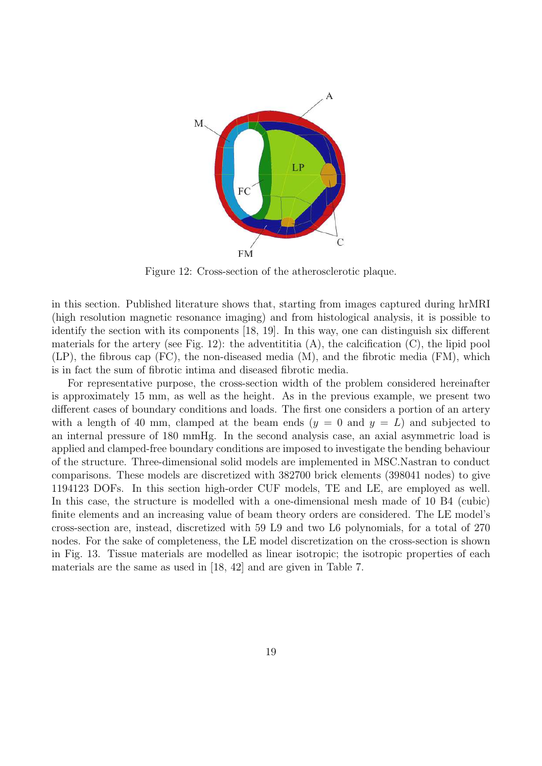

Figure 12: Cross-section of the atherosclerotic plaque.

in this section. Published literature shows that, starting from images captured during hrMRI (high resolution magnetic resonance imaging) and from histological analysis, it is possible to identify the section with its components [18, 19]. In this way, one can distinguish six different materials for the artery (see Fig. 12): the adventititia  $(A)$ , the calcification  $(C)$ , the lipid pool (LP), the fibrous cap (FC), the non-diseased media (M), and the fibrotic media (FM), which is in fact the sum of fibrotic intima and diseased fibrotic media.

For representative purpose, the cross-section width of the problem considered hereinafter is approximately 15 mm, as well as the height. As in the previous example, we present two different cases of boundary conditions and loads. The first one considers a portion of an artery with a length of 40 mm, clamped at the beam ends  $(y = 0 \text{ and } y = L)$  and subjected to an internal pressure of 180 mmHg. In the second analysis case, an axial asymmetric load is applied and clamped-free boundary conditions are imposed to investigate the bending behaviour of the structure. Three-dimensional solid models are implemented in MSC.Nastran to conduct comparisons. These models are discretized with 382700 brick elements (398041 nodes) to give 1194123 DOFs. In this section high-order CUF models, TE and LE, are employed as well. In this case, the structure is modelled with a one-dimensional mesh made of 10 B4 (cubic) finite elements and an increasing value of beam theory orders are considered. The LE model's cross-section are, instead, discretized with 59 L9 and two L6 polynomials, for a total of 270 nodes. For the sake of completeness, the LE model discretization on the cross-section is shown in Fig. 13. Tissue materials are modelled as linear isotropic; the isotropic properties of each materials are the same as used in [18, 42] and are given in Table 7.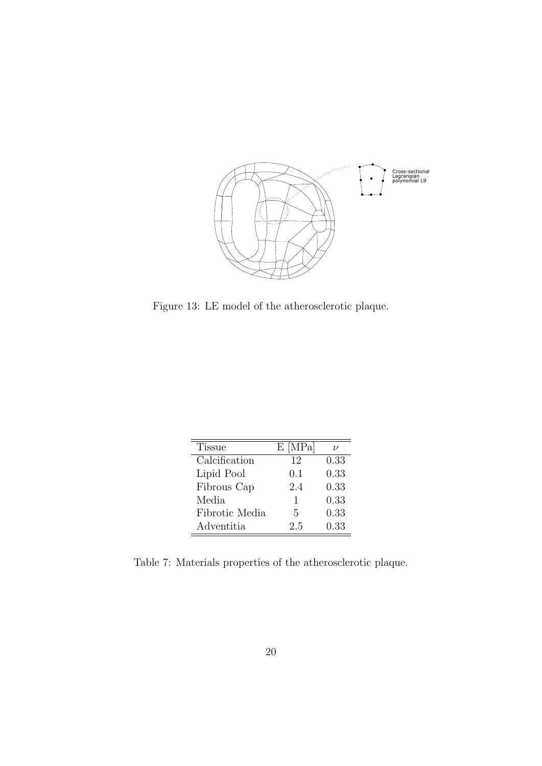

Figure 13: LE model of the atherosclerotic plaque.

| <b>Tissue</b>  | $E$ [MPa] | V    |
|----------------|-----------|------|
| Calcification  | 12        | 0.33 |
| Lipid Pool     | 0.1       | 0.33 |
| Fibrous Cap    | 2.4       | 0.33 |
| Media          | 1         | 0.33 |
| Fibrotic Media | 5         | 0.33 |
| Adventitia     | 2.5       | 0.33 |

Table 7: Materials properties of the atherosclerotic plaque.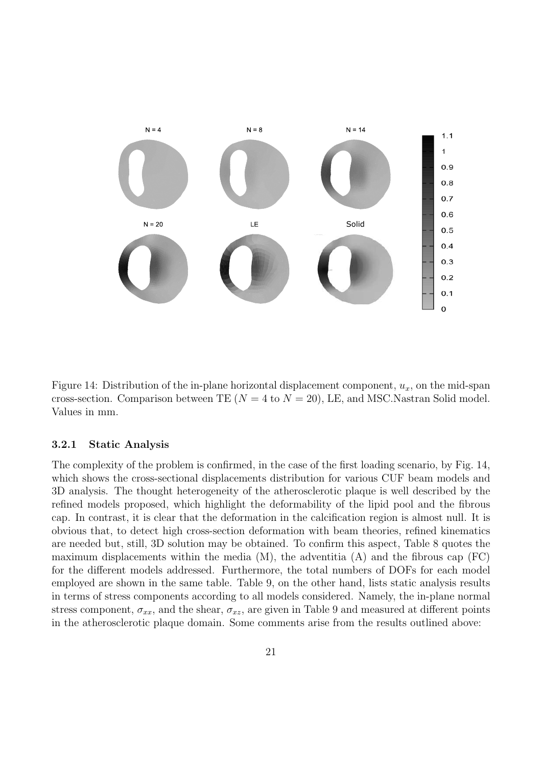

Figure 14: Distribution of the in-plane horizontal displacement component,  $u_x$ , on the mid-span cross-section. Comparison between TE ( $N = 4$  to  $N = 20$ ), LE, and MSC.Nastran Solid model. Values in mm.

#### 3.2.1 Static Analysis

The complexity of the problem is confirmed, in the case of the first loading scenario, by Fig. 14, which shows the cross-sectional displacements distribution for various CUF beam models and 3D analysis. The thought heterogeneity of the atherosclerotic plaque is well described by the refined models proposed, which highlight the deformability of the lipid pool and the fibrous cap. In contrast, it is clear that the deformation in the calcification region is almost null. It is obvious that, to detect high cross-section deformation with beam theories, refined kinematics are needed but, still, 3D solution may be obtained. To confirm this aspect, Table 8 quotes the maximum displacements within the media  $(M)$ , the adventitia  $(A)$  and the fibrous cap  $(FC)$ for the different models addressed. Furthermore, the total numbers of DOFs for each model employed are shown in the same table. Table 9, on the other hand, lists static analysis results in terms of stress components according to all models considered. Namely, the in-plane normal stress component,  $\sigma_{xx}$ , and the shear,  $\sigma_{xz}$ , are given in Table 9 and measured at different points in the atherosclerotic plaque domain. Some comments arise from the results outlined above: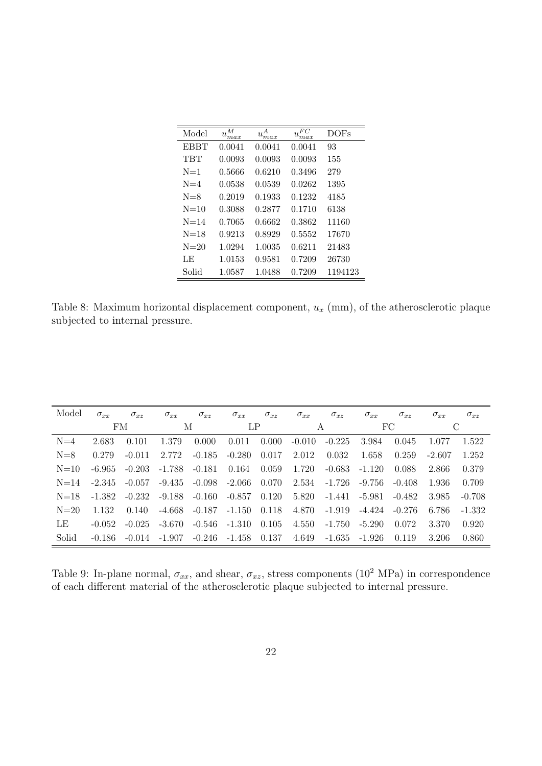| Model       | М<br>$u_{\max}^{\dots}$ | $u_{max}$ | FC<br>U,<br>max | <b>DOFs</b> |
|-------------|-------------------------|-----------|-----------------|-------------|
| <b>EBBT</b> | 0.0041                  | 0.0041    | 0.0041          | 93          |
| TBT         | 0.0093                  | 0.0093    | 0.0093          | 155         |
| $N=1$       | 0.5666                  | 0.6210    | 0.3496          | 279         |
| $N=4$       | 0.0538                  | 0.0539    | 0.0262          | 1395        |
| $N = 8$     | 0.2019                  | 0.1933    | 0.1232          | 4185        |
| $N=10$      | 0.3088                  | 0.2877    | 0.1710          | 6138        |
| $N=14$      | 0.7065                  | 0.6662    | 0.3862          | 11160       |
| $N=18$      | 0.9213                  | 0.8929    | 0.5552          | 17670       |
| $N=20$      | 1.0294                  | 1.0035    | 0.6211          | 21483       |
| LE          | 1.0153                  | 0.9581    | 0.7209          | 26730       |
| Solid       | 1.0587                  | 1.0488    | 0.7209          | 1194123     |

Table 8: Maximum horizontal displacement component,  $u_x$  (mm), of the atherosclerotic plaque subjected to internal pressure.

| Model    | $\sigma_{xx}$ | $\sigma_{xz}$ | $\sigma_{xx}$ | $\sigma_{xz}$ | $\sigma_{xx}$ | $\sigma_{xz}$ | $\sigma_{xx}$ | $\sigma_{xz}$ | $\sigma_{xx}$ | $\sigma_{xz}$ | $\sigma_{xx}$ | $\sigma_{xz}$ |
|----------|---------------|---------------|---------------|---------------|---------------|---------------|---------------|---------------|---------------|---------------|---------------|---------------|
|          |               | FM            | М             |               | LΡ            |               |               | А             |               | FC            |               | С             |
| $N=4$    | 2.683         | 0.101         | 1.379         | 0.000         | 0.011         | 0.000         | $-0.010$      | $-0.225$      | 3.984         | 0.045         | 1.077         | 1.522         |
| $N=8$    | 0.279         | $-0.011$      | 2.772         | $-0.185$      | $-0.280$      | 0.017         | 2.012         | 0.032         | 1.658         | 0.259         | $-2.607$      | 1.252         |
| $N=10$   | -6.965        | $-0.203$      | $-1.788$      | $-0.181$      | 0.164         | 0.059         | 1.720         | $-0.683$      | $-1.120$      | 0.088         | 2.866         | 0.379         |
| $N = 14$ | -2.345        | $-0.057$      | -9.435        | $-0.098$      | -2.066        | 0.070         | 2.534         | $-1.726$      | -9.756        | $-0.408$      | 1.936         | 0.709         |
| $N=18$   | -1.382        | $-0.232$      | $-9.188$      | $-0.160$      | $-0.857$      | 0.120         | 5.820         | -1.441        | $-5.981$      | $-0.482$      | 3.985         | $-0.708$      |
| $N=20$   | 1.132         | 0.140         | $-4.668$      | $-0.187$      | $-1.150$      | 0.118         | 4.870         | $-1.919$      | -4.424        | $-0.276$      | 6.786         | -1.332        |
| LE       | $-0.052$      | $-0.025$      | -3.670        | $-0.546$      | $-1.310$      | 0.105         | 4.550         | $-1.750$      | $-5.290$      | 0.072         | 3.370         | 0.920         |
| Solid    | $-0.186$      | $-0.014$      | $-1.907$      | $-0.246$      | -1.458        | 0.137         | 4.649         | $-1.635$      | -1.926        | 0.119         | 3.206         | 0.860         |

Table 9: In-plane normal,  $\sigma_{xx}$ , and shear,  $\sigma_{xz}$ , stress components (10<sup>2</sup> MPa) in correspondence of each different material of the atherosclerotic plaque subjected to internal pressure.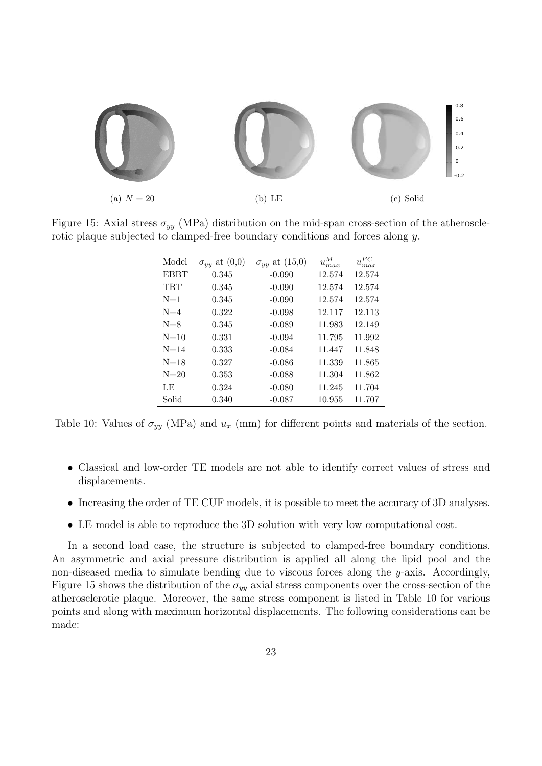

Figure 15: Axial stress  $\sigma_{yy}$  (MPa) distribution on the mid-span cross-section of the atherosclerotic plaque subjected to clamped-free boundary conditions and forces along y.

| Model       | $\sigma_{yy}$ at $(0,0)$ | $\sigma_{yy}$ at $(15,0)$ | $u_{max}^M$ | $u_{max}^{FC}$ |
|-------------|--------------------------|---------------------------|-------------|----------------|
| <b>EBBT</b> | 0.345                    | $-0.090$                  | 12.574      | 12.574         |
| TBT         | 0.345                    | $-0.090$                  | 12.574      | 12.574         |
| $N=1$       | 0.345                    | $-0.090$                  | 12.574      | 12.574         |
| $N=4$       | 0.322                    | $-0.098$                  | 12.117      | 12.113         |
| $N=8$       | 0.345                    | $-0.089$                  | 11.983      | 12.149         |
| $N=10$      | 0.331                    | $-0.094$                  | 11.795      | 11.992         |
| $N = 14$    | 0.333                    | $-0.084$                  | 11.447      | 11.848         |
| $N=18$      | 0.327                    | $-0.086$                  | 11.339      | 11.865         |
| $N=20$      | 0.353                    | $-0.088$                  | 11.304      | 11.862         |
| LE          | 0.324                    | $-0.080$                  | 11.245      | 11.704         |
| Solid       | 0.340                    | $-0.087$                  | 10.955      | 11.707         |

Table 10: Values of  $\sigma_{yy}$  (MPa) and  $u_x$  (mm) for different points and materials of the section.

- Classical and low-order TE models are not able to identify correct values of stress and displacements.
- Increasing the order of TE CUF models, it is possible to meet the accuracy of 3D analyses.
- LE model is able to reproduce the 3D solution with very low computational cost.

In a second load case, the structure is subjected to clamped-free boundary conditions. An asymmetric and axial pressure distribution is applied all along the lipid pool and the non-diseased media to simulate bending due to viscous forces along the y-axis. Accordingly, Figure 15 shows the distribution of the  $\sigma_{yy}$  axial stress components over the cross-section of the atherosclerotic plaque. Moreover, the same stress component is listed in Table 10 for various points and along with maximum horizontal displacements. The following considerations can be made: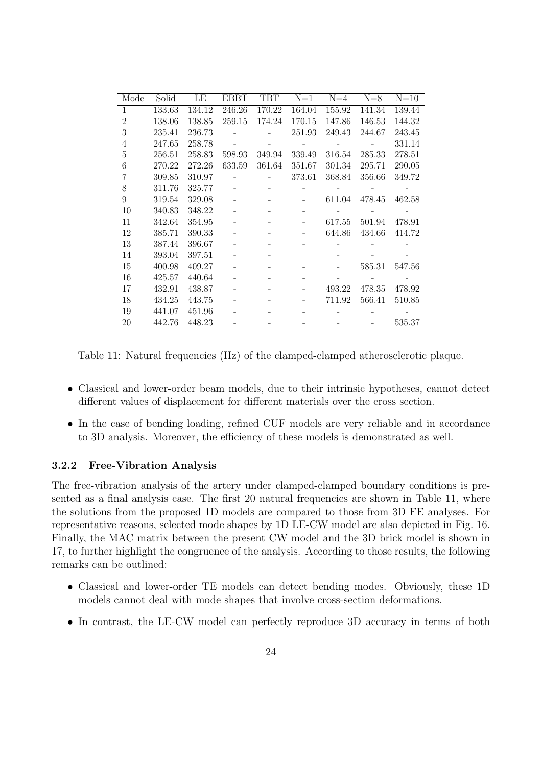| Mode           | Solid  | LE     | EBBT   | TBT    | $N=1$  | $N=4$  | $N=8$  | $N=10$ |
|----------------|--------|--------|--------|--------|--------|--------|--------|--------|
| $\mathbf{1}$   | 133.63 | 134.12 | 246.26 | 170.22 | 164.04 | 155.92 | 141.34 | 139.44 |
| 2              | 138.06 | 138.85 | 259.15 | 174.24 | 170.15 | 147.86 | 146.53 | 144.32 |
| 3              | 235.41 | 236.73 |        |        | 251.93 | 249.43 | 244.67 | 243.45 |
| $\overline{4}$ | 247.65 | 258.78 |        |        |        |        |        | 331.14 |
| 5              | 256.51 | 258.83 | 598.93 | 349.94 | 339.49 | 316.54 | 285.33 | 278.51 |
| 6              | 270.22 | 272.26 | 633.59 | 361.64 | 351.67 | 301.34 | 295.71 | 290.05 |
| 7              | 309.85 | 310.97 |        |        | 373.61 | 368.84 | 356.66 | 349.72 |
| 8              | 311.76 | 325.77 |        |        |        |        |        |        |
| 9              | 319.54 | 329.08 |        |        |        | 611.04 | 478.45 | 462.58 |
| 10             | 340.83 | 348.22 |        |        |        |        |        |        |
| 11             | 342.64 | 354.95 |        |        |        | 617.55 | 501.94 | 478.91 |
| 12             | 385.71 | 390.33 |        |        |        | 644.86 | 434.66 | 414.72 |
| 13             | 387.44 | 396.67 |        |        |        |        |        |        |
| 14             | 393.04 | 397.51 |        |        |        |        |        |        |
| 15             | 400.98 | 409.27 |        |        |        |        | 585.31 | 547.56 |
| 16             | 425.57 | 440.64 |        |        |        |        |        |        |
| 17             | 432.91 | 438.87 |        |        |        | 493.22 | 478.35 | 478.92 |
| 18             | 434.25 | 443.75 |        |        |        | 711.92 | 566.41 | 510.85 |
| 19             | 441.07 | 451.96 |        |        |        |        |        |        |
| 20             | 442.76 | 448.23 |        |        |        |        |        | 535.37 |

Table 11: Natural frequencies (Hz) of the clamped-clamped atherosclerotic plaque.

- Classical and lower-order beam models, due to their intrinsic hypotheses, cannot detect different values of displacement for different materials over the cross section.
- In the case of bending loading, refined CUF models are very reliable and in accordance to 3D analysis. Moreover, the efficiency of these models is demonstrated as well.

### 3.2.2 Free-Vibration Analysis

The free-vibration analysis of the artery under clamped-clamped boundary conditions is presented as a final analysis case. The first 20 natural frequencies are shown in Table 11, where the solutions from the proposed 1D models are compared to those from 3D FE analyses. For representative reasons, selected mode shapes by 1D LE-CW model are also depicted in Fig. 16. Finally, the MAC matrix between the present CW model and the 3D brick model is shown in 17, to further highlight the congruence of the analysis. According to those results, the following remarks can be outlined:

- Classical and lower-order TE models can detect bending modes. Obviously, these 1D models cannot deal with mode shapes that involve cross-section deformations.
- In contrast, the LE-CW model can perfectly reproduce 3D accuracy in terms of both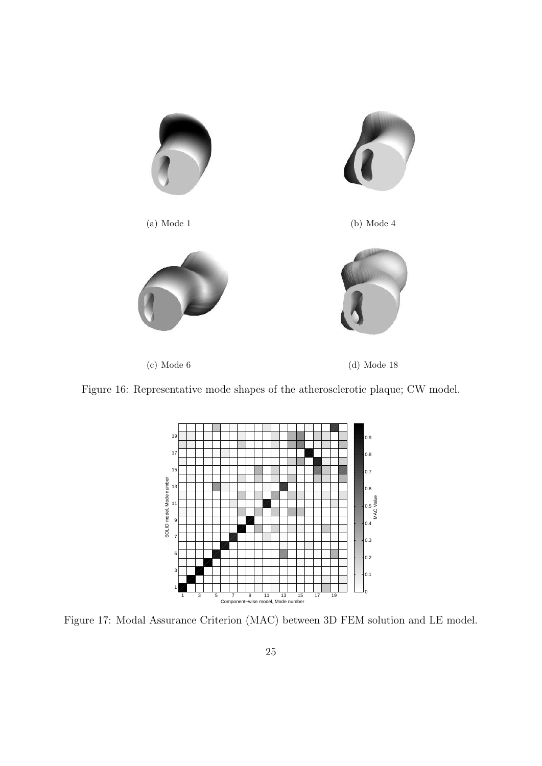

Figure 16: Representative mode shapes of the atherosclerotic plaque; CW model.



Figure 17: Modal Assurance Criterion (MAC) between 3D FEM solution and LE model.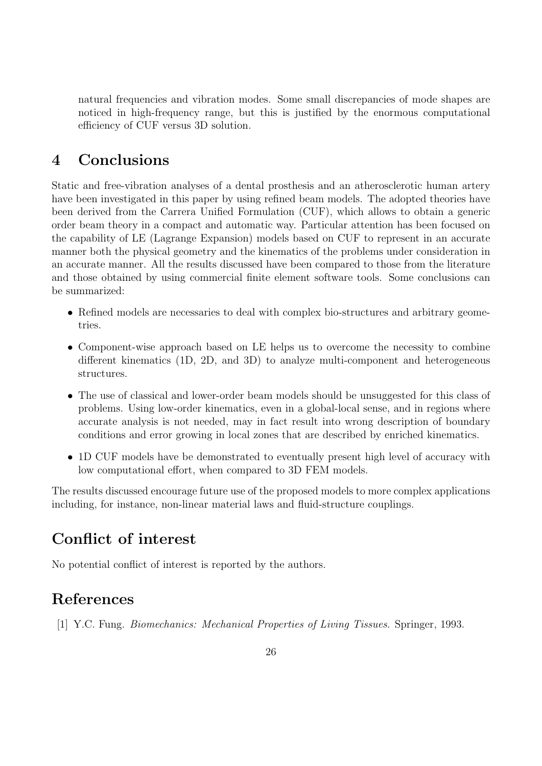natural frequencies and vibration modes. Some small discrepancies of mode shapes are noticed in high-frequency range, but this is justified by the enormous computational efficiency of CUF versus 3D solution.

# 4 Conclusions

Static and free-vibration analyses of a dental prosthesis and an atherosclerotic human artery have been investigated in this paper by using refined beam models. The adopted theories have been derived from the Carrera Unified Formulation (CUF), which allows to obtain a generic order beam theory in a compact and automatic way. Particular attention has been focused on the capability of LE (Lagrange Expansion) models based on CUF to represent in an accurate manner both the physical geometry and the kinematics of the problems under consideration in an accurate manner. All the results discussed have been compared to those from the literature and those obtained by using commercial finite element software tools. Some conclusions can be summarized:

- Refined models are necessaries to deal with complex bio-structures and arbitrary geometries.
- Component-wise approach based on LE helps us to overcome the necessity to combine different kinematics (1D, 2D, and 3D) to analyze multi-component and heterogeneous structures.
- The use of classical and lower-order beam models should be unsuggested for this class of problems. Using low-order kinematics, even in a global-local sense, and in regions where accurate analysis is not needed, may in fact result into wrong description of boundary conditions and error growing in local zones that are described by enriched kinematics.
- 1D CUF models have be demonstrated to eventually present high level of accuracy with low computational effort, when compared to 3D FEM models.

The results discussed encourage future use of the proposed models to more complex applications including, for instance, non-linear material laws and fluid-structure couplings.

# Conflict of interest

No potential conflict of interest is reported by the authors.

# References

[1] Y.C. Fung. Biomechanics: Mechanical Properties of Living Tissues. Springer, 1993.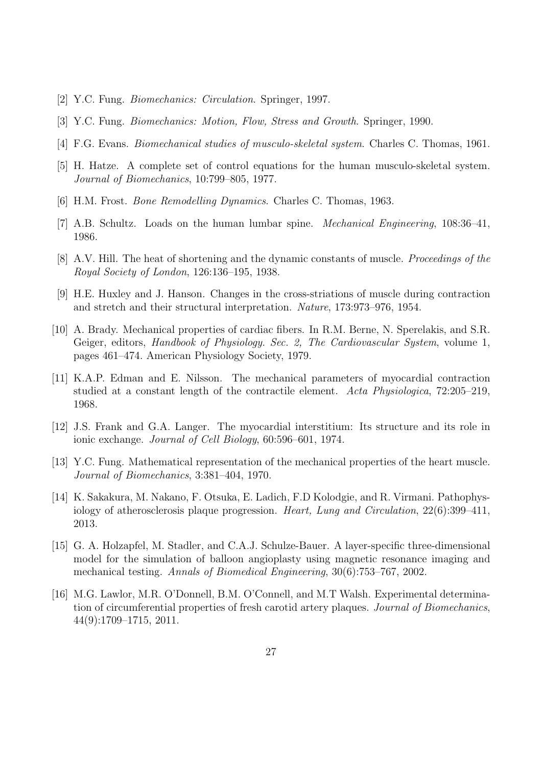- [2] Y.C. Fung. Biomechanics: Circulation. Springer, 1997.
- [3] Y.C. Fung. Biomechanics: Motion, Flow, Stress and Growth. Springer, 1990.
- [4] F.G. Evans. *Biomechanical studies of musculo-skeletal system*. Charles C. Thomas, 1961.
- [5] H. Hatze. A complete set of control equations for the human musculo-skeletal system. Journal of Biomechanics, 10:799–805, 1977.
- [6] H.M. Frost. Bone Remodelling Dynamics. Charles C. Thomas, 1963.
- [7] A.B. Schultz. Loads on the human lumbar spine. Mechanical Engineering, 108:36–41, 1986.
- [8] A.V. Hill. The heat of shortening and the dynamic constants of muscle. Proceedings of the Royal Society of London, 126:136–195, 1938.
- [9] H.E. Huxley and J. Hanson. Changes in the cross-striations of muscle during contraction and stretch and their structural interpretation. Nature, 173:973–976, 1954.
- [10] A. Brady. Mechanical properties of cardiac fibers. In R.M. Berne, N. Sperelakis, and S.R. Geiger, editors, Handbook of Physiology. Sec. 2, The Cardiovascular System, volume 1, pages 461–474. American Physiology Society, 1979.
- [11] K.A.P. Edman and E. Nilsson. The mechanical parameters of myocardial contraction studied at a constant length of the contractile element. Acta Physiologica, 72:205–219, 1968.
- [12] J.S. Frank and G.A. Langer. The myocardial interstitium: Its structure and its role in ionic exchange. Journal of Cell Biology, 60:596–601, 1974.
- [13] Y.C. Fung. Mathematical representation of the mechanical properties of the heart muscle. Journal of Biomechanics, 3:381–404, 1970.
- [14] K. Sakakura, M. Nakano, F. Otsuka, E. Ladich, F.D Kolodgie, and R. Virmani. Pathophysiology of atherosclerosis plaque progression. Heart, Lung and Circulation, 22(6):399–411, 2013.
- [15] G. A. Holzapfel, M. Stadler, and C.A.J. Schulze-Bauer. A layer-specific three-dimensional model for the simulation of balloon angioplasty using magnetic resonance imaging and mechanical testing. Annals of Biomedical Engineering, 30(6):753–767, 2002.
- [16] M.G. Lawlor, M.R. O'Donnell, B.M. O'Connell, and M.T Walsh. Experimental determination of circumferential properties of fresh carotid artery plaques. Journal of Biomechanics, 44(9):1709–1715, 2011.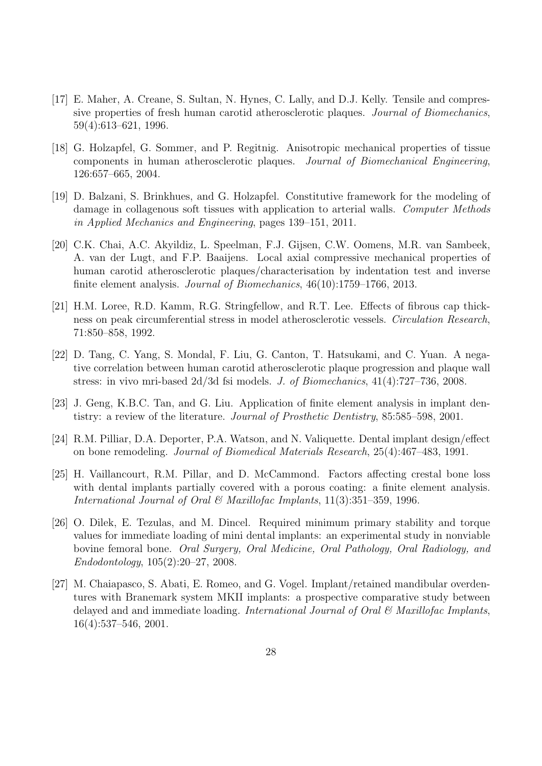- [17] E. Maher, A. Creane, S. Sultan, N. Hynes, C. Lally, and D.J. Kelly. Tensile and compressive properties of fresh human carotid atherosclerotic plaques. Journal of Biomechanics, 59(4):613–621, 1996.
- [18] G. Holzapfel, G. Sommer, and P. Regitnig. Anisotropic mechanical properties of tissue components in human atherosclerotic plaques. Journal of Biomechanical Engineering, 126:657–665, 2004.
- [19] D. Balzani, S. Brinkhues, and G. Holzapfel. Constitutive framework for the modeling of damage in collagenous soft tissues with application to arterial walls. Computer Methods in Applied Mechanics and Engineering, pages 139–151, 2011.
- [20] C.K. Chai, A.C. Akyildiz, L. Speelman, F.J. Gijsen, C.W. Oomens, M.R. van Sambeek, A. van der Lugt, and F.P. Baaijens. Local axial compressive mechanical properties of human carotid atherosclerotic plaques/characterisation by indentation test and inverse finite element analysis. Journal of Biomechanics, 46(10):1759–1766, 2013.
- [21] H.M. Loree, R.D. Kamm, R.G. Stringfellow, and R.T. Lee. Effects of fibrous cap thickness on peak circumferential stress in model atherosclerotic vessels. Circulation Research, 71:850–858, 1992.
- [22] D. Tang, C. Yang, S. Mondal, F. Liu, G. Canton, T. Hatsukami, and C. Yuan. A negative correlation between human carotid atherosclerotic plaque progression and plaque wall stress: in vivo mri-based 2d/3d fsi models. J. of Biomechanics, 41(4):727–736, 2008.
- [23] J. Geng, K.B.C. Tan, and G. Liu. Application of finite element analysis in implant dentistry: a review of the literature. Journal of Prosthetic Dentistry, 85:585–598, 2001.
- [24] R.M. Pilliar, D.A. Deporter, P.A. Watson, and N. Valiquette. Dental implant design/effect on bone remodeling. Journal of Biomedical Materials Research, 25(4):467–483, 1991.
- [25] H. Vaillancourt, R.M. Pillar, and D. McCammond. Factors affecting crestal bone loss with dental implants partially covered with a porous coating: a finite element analysis. International Journal of Oral & Maxillofac Implants, 11(3):351–359, 1996.
- [26] O. Dilek, E. Tezulas, and M. Dincel. Required minimum primary stability and torque values for immediate loading of mini dental implants: an experimental study in nonviable bovine femoral bone. Oral Surgery, Oral Medicine, Oral Pathology, Oral Radiology, and Endodontology, 105(2):20–27, 2008.
- [27] M. Chaiapasco, S. Abati, E. Romeo, and G. Vogel. Implant/retained mandibular overdentures with Branemark system MKII implants: a prospective comparative study between delayed and and immediate loading. International Journal of Oral & Maxillofac Implants, 16(4):537–546, 2001.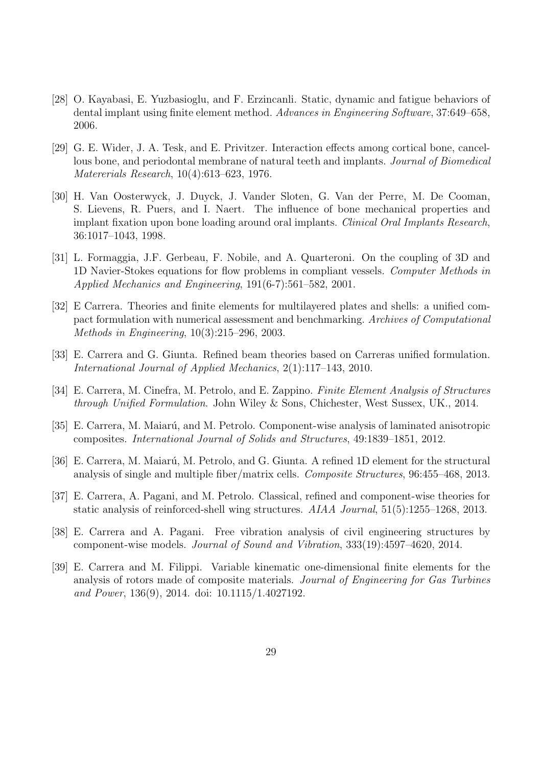- [28] O. Kayabasi, E. Yuzbasioglu, and F. Erzincanli. Static, dynamic and fatigue behaviors of dental implant using finite element method. Advances in Engineering Software, 37:649–658, 2006.
- [29] G. E. Wider, J. A. Tesk, and E. Privitzer. Interaction effects among cortical bone, cancellous bone, and periodontal membrane of natural teeth and implants. Journal of Biomedical Matererials Research, 10(4):613–623, 1976.
- [30] H. Van Oosterwyck, J. Duyck, J. Vander Sloten, G. Van der Perre, M. De Cooman, S. Lievens, R. Puers, and I. Naert. The influence of bone mechanical properties and implant fixation upon bone loading around oral implants. Clinical Oral Implants Research, 36:1017–1043, 1998.
- [31] L. Formaggia, J.F. Gerbeau, F. Nobile, and A. Quarteroni. On the coupling of 3D and 1D Navier-Stokes equations for flow problems in compliant vessels. Computer Methods in Applied Mechanics and Engineering, 191(6-7):561–582, 2001.
- [32] E Carrera. Theories and finite elements for multilayered plates and shells: a unified compact formulation with numerical assessment and benchmarking. Archives of Computational Methods in Engineering, 10(3):215–296, 2003.
- [33] E. Carrera and G. Giunta. Refined beam theories based on Carreras unified formulation. International Journal of Applied Mechanics, 2(1):117–143, 2010.
- [34] E. Carrera, M. Cinefra, M. Petrolo, and E. Zappino. Finite Element Analysis of Structures through Unified Formulation. John Wiley & Sons, Chichester, West Sussex, UK., 2014.
- [35] E. Carrera, M. Maiarú, and M. Petrolo. Component-wise analysis of laminated anisotropic composites. International Journal of Solids and Structures, 49:1839–1851, 2012.
- [36] E. Carrera, M. Maiarú, M. Petrolo, and G. Giunta. A refined 1D element for the structural analysis of single and multiple fiber/matrix cells. Composite Structures, 96:455–468, 2013.
- [37] E. Carrera, A. Pagani, and M. Petrolo. Classical, refined and component-wise theories for static analysis of reinforced-shell wing structures. AIAA Journal, 51(5):1255–1268, 2013.
- [38] E. Carrera and A. Pagani. Free vibration analysis of civil engineering structures by component-wise models. Journal of Sound and Vibration, 333(19):4597–4620, 2014.
- [39] E. Carrera and M. Filippi. Variable kinematic one-dimensional finite elements for the analysis of rotors made of composite materials. Journal of Engineering for Gas Turbines and Power, 136(9), 2014. doi: 10.1115/1.4027192.